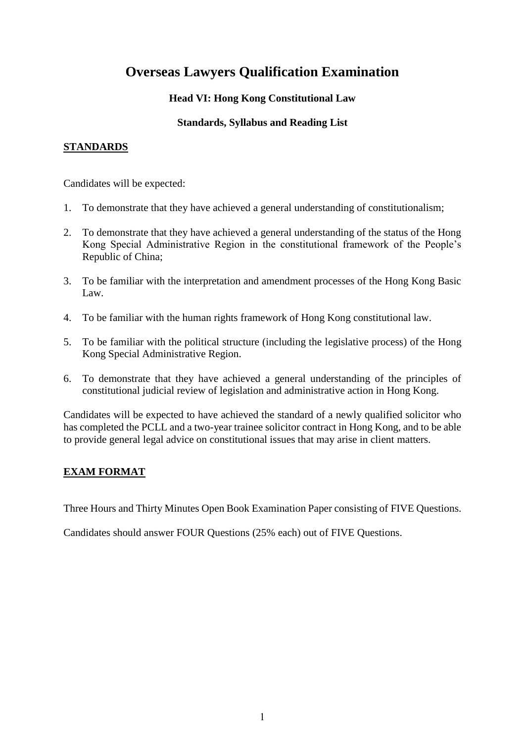# **Overseas Lawyers Qualification Examination**

# **Head VI: Hong Kong Constitutional Law**

## **Standards, Syllabus and Reading List**

## **STANDARDS**

Candidates will be expected:

- 1. To demonstrate that they have achieved a general understanding of constitutionalism;
- 2. To demonstrate that they have achieved a general understanding of the status of the Hong Kong Special Administrative Region in the constitutional framework of the People's Republic of China;
- 3. To be familiar with the interpretation and amendment processes of the Hong Kong Basic Law.
- 4. To be familiar with the human rights framework of Hong Kong constitutional law.
- 5. To be familiar with the political structure (including the legislative process) of the Hong Kong Special Administrative Region.
- 6. To demonstrate that they have achieved a general understanding of the principles of constitutional judicial review of legislation and administrative action in Hong Kong.

Candidates will be expected to have achieved the standard of a newly qualified solicitor who has completed the PCLL and a two-year trainee solicitor contract in Hong Kong, and to be able to provide general legal advice on constitutional issues that may arise in client matters.

# **EXAM FORMAT**

Three Hours and Thirty Minutes Open Book Examination Paper consisting of FIVE Questions.

Candidates should answer FOUR Questions (25% each) out of FIVE Questions.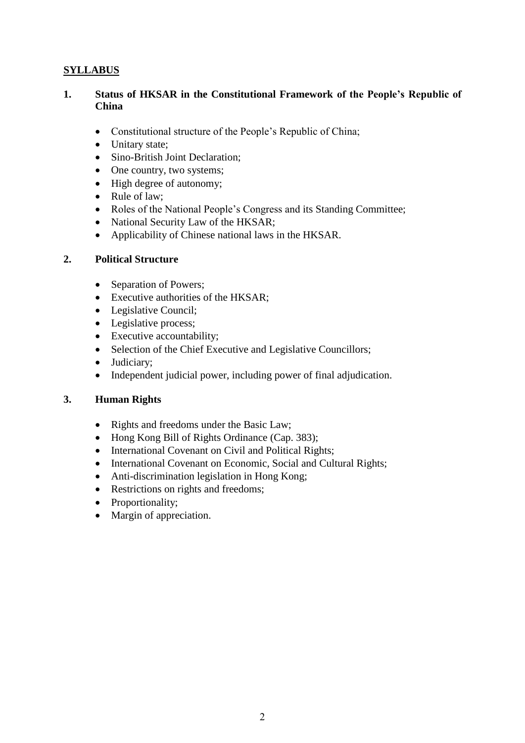# **SYLLABUS**

#### **1. Status of HKSAR in the Constitutional Framework of the People's Republic of China**

- Constitutional structure of the People's Republic of China;
- Unitary state;
- Sino-British Joint Declaration;
- One country, two systems;
- High degree of autonomy;
- Rule of law;
- Roles of the National People's Congress and its Standing Committee;
- National Security Law of the HKSAR;
- Applicability of Chinese national laws in the HKSAR.

## **2. Political Structure**

- Separation of Powers;
- Executive authorities of the HKSAR;
- Legislative Council;
- Legislative process;
- Executive accountability;
- Selection of the Chief Executive and Legislative Councillors;
- Judiciary;
- Independent judicial power, including power of final adjudication.

## **3. Human Rights**

- Rights and freedoms under the Basic Law;
- Hong Kong Bill of Rights Ordinance (Cap. 383);
- International Covenant on Civil and Political Rights;
- International Covenant on Economic, Social and Cultural Rights;
- Anti-discrimination legislation in Hong Kong;
- Restrictions on rights and freedoms;
- Proportionality;
- Margin of appreciation.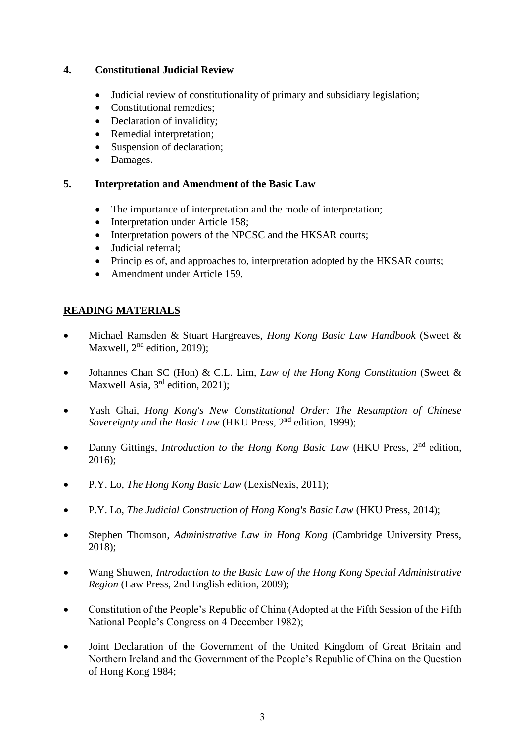## **4. Constitutional Judicial Review**

- Judicial review of constitutionality of primary and subsidiary legislation;
- Constitutional remedies:
- Declaration of invalidity;
- Remedial interpretation:
- Suspension of declaration;
- Damages.

## **5. Interpretation and Amendment of the Basic Law**

- The importance of interpretation and the mode of interpretation;
- Interpretation under Article 158;
- Interpretation powers of the NPCSC and the HKSAR courts;
- Judicial referral;
- Principles of, and approaches to, interpretation adopted by the HKSAR courts;
- Amendment under Article 159.

# **READING MATERIALS**

- Michael Ramsden & Stuart Hargreaves, *Hong Kong Basic Law Handbook* (Sweet & Maxwell,  $2<sup>nd</sup>$  edition, 2019);
- Johannes Chan SC (Hon) & C.L. Lim, *Law of the Hong Kong Constitution* (Sweet & Maxwell Asia, 3<sup>rd</sup> edition, 2021);
- Yash Ghai, *Hong Kong's New Constitutional Order: The Resumption of Chinese Sovereignty and the Basic Law (HKU Press, 2<sup>nd</sup> edition, 1999);*
- Danny Gittings, *Introduction to the Hong Kong Basic Law* (HKU Press, 2nd edition, 2016);
- P.Y. Lo, *The Hong Kong Basic Law* (LexisNexis, 2011);
- P.Y. Lo, *The Judicial Construction of Hong Kong's Basic Law* (HKU Press, 2014);
- Stephen Thomson, *Administrative Law in Hong Kong* (Cambridge University Press, 2018);
- Wang Shuwen, *Introduction to the Basic Law of the Hong Kong Special Administrative Region* (Law Press, 2nd English edition, 2009);
- Constitution of the People's Republic of China (Adopted at the Fifth Session of the Fifth National People's Congress on 4 December 1982);
- Joint Declaration of the Government of the United Kingdom of Great Britain and Northern Ireland and the Government of the People's Republic of China on the Question of Hong Kong 1984;